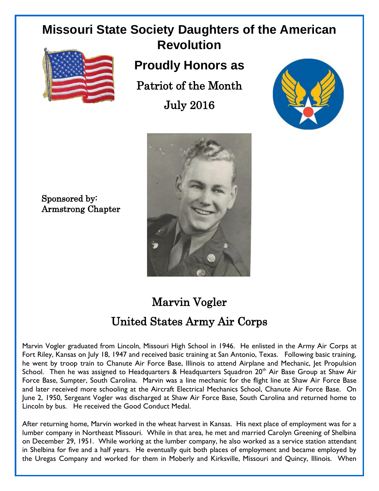## **Missouri State Society Daughters of the American Revolution**



## **Proudly Honors as**

Patriot of the Month July 2016





Sponsored by: Armstrong Chapter

## Marvin Vogler

## United States Army Air Corps

Marvin Vogler graduated from Lincoln, Missouri High School in 1946. He enlisted in the Army Air Corps at Fort Riley, Kansas on July 18, 1947 and received basic training at San Antonio, Texas. Following basic training, he went by troop train to Chanute Air Force Base, Illinois to attend Airplane and Mechanic, Jet Propulsion School. Then he was assigned to Headquarters & Headquarters Squadron  $20<sup>th</sup>$  Air Base Group at Shaw Air Force Base, Sumpter, South Carolina. Marvin was a line mechanic for the flight line at Shaw Air Force Base and later received more schooling at the Aircraft Electrical Mechanics School, Chanute Air Force Base. On June 2, 1950, Sergeant Vogler was discharged at Shaw Air Force Base, South Carolina and returned home to Lincoln by bus. He received the Good Conduct Medal.

After returning home, Marvin worked in the wheat harvest in Kansas. His next place of employment was for a lumber company in Northeast Missouri. While in that area, he met and married Carolyn Greening of Shelbina on December 29, 1951. While working at the lumber company, he also worked as a service station attendant in Shelbina for five and a half years. He eventually quit both places of employment and became employed by the Uregas Company and worked for them in Moberly and Kirksville, Missouri and Quincy, Illinois. When